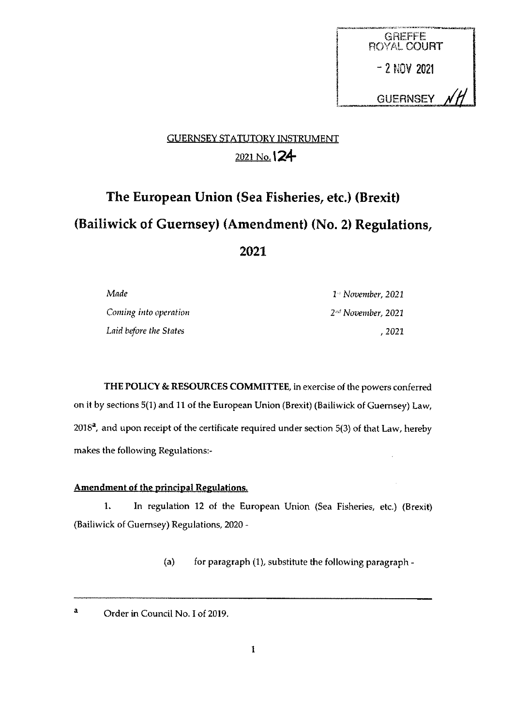

## GUERNSEY STATUTORY INSTRUMENT 2021 No. 124

# The European Union (Sea Fisheries, etc.) (Brexit) (Bailiwick of Guernsey) (Amendment) (No. 2) Regulations, 2021

| Made                   | $14$ November, 2021            |
|------------------------|--------------------------------|
| Coming into operation  | 2 <sup>nd</sup> November, 2021 |
| Laid before the States | . 2021                         |

THE POLICY & RESOURCES COMMITTEE, in exercise of the powers conferred on it by sections 5(1) and <sup>11</sup> of the European Union (Brexit) (Bailiwick of Guernsey) Law,  $2018<sup>a</sup>$ , and upon receipt of the certificate required under section 5(3) of that Law, hereby makes the following Regulations:

### Amendment of the principal Regulations.

1. In regulation 12 of the European Union (Sea Fisheries, etc.) (Brexit) (Bailiwick of Guernsey) Regulations, 2020 -

(a) for paragraph  $(1)$ , substitute the following paragraph -

<sup>a</sup> Order in Council No. <sup>I</sup> of 2019.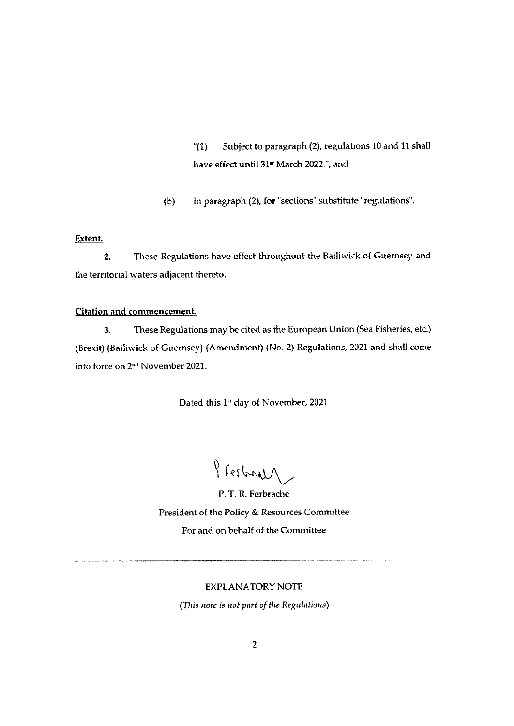(1) Subject to paragraph (2), regulations 10 and <sup>11</sup> shall have effect until 31" March 2022,', and

(b) in paragraph (2), for "sections" substitute 'regulations".

#### Extent.

2. These Regulations have effect throughout the Bailiwick of Guernsey and the territorial waters adjacent thereto.

#### Citation and commencement.

3. These Regulations may be cited as the European Union (Sea Fisheries, etc.) (Brexil) (Bailiwick of Guernsey) (Amendment) (No. 2) Regulations, 2021 and shall come into force on 2<sup>nd</sup> November 2021.

Dated this 1<sup>3</sup> day of November, 2021

Presbrall

P. T. R. Ferbrache President of the Policy & Resources Committee For and on behalf of the Committee

#### EXPLANATORY NOTE

(This note is not part of the Regulations)